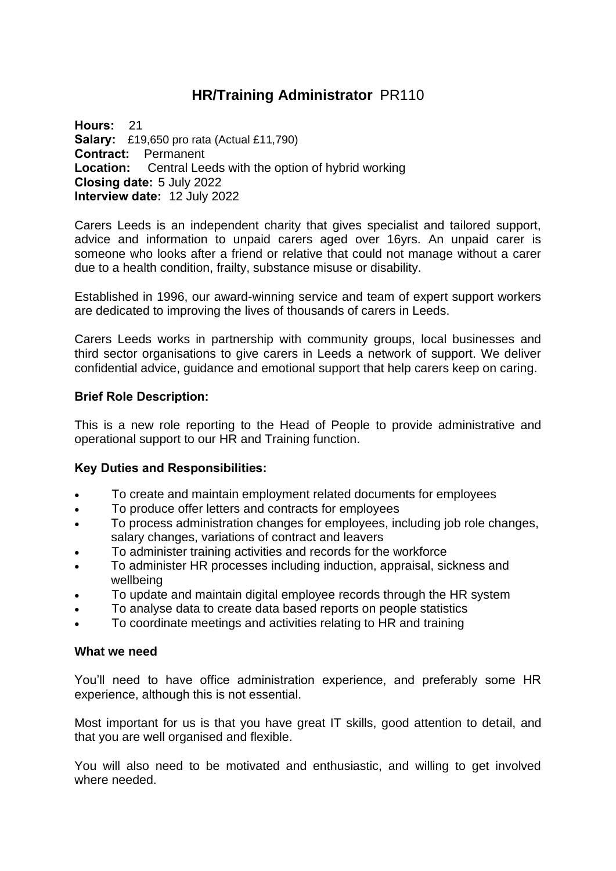# **HR/Training Administrator** PR110

**Hours: 21 Salary:** £19,650 pro rata (Actual £11,790) **Contract:**    Permanent **Location:** Central Leeds with the option of hybrid working **Closing date:**5 July 2022 **Interview date:** 12 July 2022

Carers Leeds is an independent charity that gives specialist and tailored support, advice and information to unpaid carers aged over 16yrs. An unpaid carer is someone who looks after a friend or relative that could not manage without a carer due to a health condition, frailty, substance misuse or disability.

Established in 1996, our award-winning service and team of expert support workers are dedicated to improving the lives of thousands of carers in Leeds.

Carers Leeds works in partnership with community groups, local businesses and third sector organisations to give carers in Leeds a network of support. We deliver confidential advice, guidance and emotional support that help carers keep on caring.

### **Brief Role Description:**

This is a new role reporting to the Head of People to provide administrative and operational support to our HR and Training function.

#### **Key Duties and Responsibilities:**

- To create and maintain employment related documents for employees
- To produce offer letters and contracts for employees
- To process administration changes for employees, including job role changes, salary changes, variations of contract and leavers
- To administer training activities and records for the workforce
- To administer HR processes including induction, appraisal, sickness and wellbeing
- To update and maintain digital employee records through the HR system
- To analyse data to create data based reports on people statistics
- To coordinate meetings and activities relating to HR and training

#### **What we need**

You'll need to have office administration experience, and preferably some HR experience, although this is not essential.

Most important for us is that you have great IT skills, good attention to detail, and that you are well organised and flexible.

You will also need to be motivated and enthusiastic, and willing to get involved where needed.